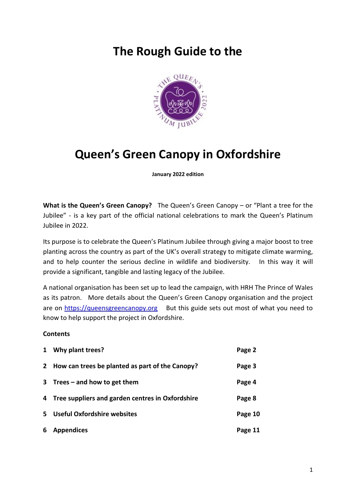## **The Rough Guide to the**



# **Queen's Green Canopy in Oxfordshire**

**January 2022 edition**

**What is the Queen's Green Canopy?** The Queen's Green Canopy – or "Plant a tree for the Jubilee" - is a key part of the official national celebrations to mark the Queen's Platinum Jubilee in 2022.

Its purpose is to celebrate the Queen's Platinum Jubilee through giving a major boost to tree planting across the country as part of the UK's overall strategy to mitigate climate warming, and to help counter the serious decline in wildlife and biodiversity. In this way it will provide a significant, tangible and lasting legacy of the Jubilee.

A national organisation has been set up to lead the campaign, with HRH The Prince of Wales as its patron. More details about the Queen's Green Canopy organisation and the project are on [https://queensgreencanopy.org](https://queensgreencanopy.org/) But this guide sets out most of what you need to know to help support the project in Oxfordshire.

#### **Contents**

| $\mathbf{1}$ | Why plant trees?                                   | Page 2  |
|--------------|----------------------------------------------------|---------|
| $2^{\circ}$  | How can trees be planted as part of the Canopy?    | Page 3  |
|              | 3 Trees $-$ and how to get them                    | Page 4  |
|              | 4 Tree suppliers and garden centres in Oxfordshire | Page 8  |
| 5.           | <b>Useful Oxfordshire websites</b>                 | Page 10 |
| 6            | <b>Appendices</b>                                  | Page 11 |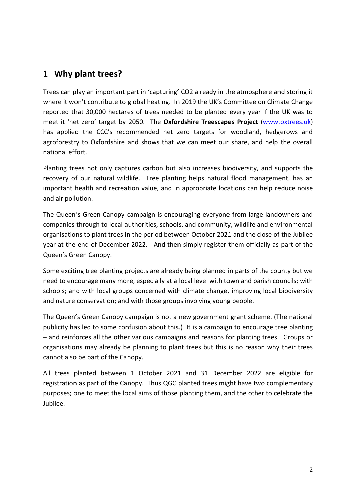## **1 Why plant trees?**

Trees can play an important part in 'capturing' CO2 already in the atmosphere and storing it where it won't contribute to global heating. In 2019 the UK's Committee on Climate Change reported that 30,000 hectares of trees needed to be planted every year if the UK was to meet it 'net zero' target by 2050. The **Oxfordshire Treescapes Project** [\(www.oxtrees.uk\)](http://www.oxtrees.uk/) has applied the CCC's recommended net zero targets for woodland, hedgerows and agroforestry to Oxfordshire and shows that we can meet our share, and help the overall national effort.

Planting trees not only captures carbon but also increases biodiversity, and supports the recovery of our natural wildlife. Tree planting helps natural flood management, has an important health and recreation value, and in appropriate locations can help reduce noise and air pollution.

The Queen's Green Canopy campaign is encouraging everyone from large landowners and companies through to local authorities, schools, and community, wildlife and environmental organisations to plant trees in the period between October 2021 and the close of the Jubilee year at the end of December 2022. And then simply register them officially as part of the Queen's Green Canopy.

Some exciting tree planting projects are already being planned in parts of the county but we need to encourage many more, especially at a local level with town and parish councils; with schools; and with local groups concerned with climate change, improving local biodiversity and nature conservation; and with those groups involving young people.

The Queen's Green Canopy campaign is not a new government grant scheme. (The national publicity has led to some confusion about this.) It is a campaign to encourage tree planting – and reinforces all the other various campaigns and reasons for planting trees. Groups or organisations may already be planning to plant trees but this is no reason why their trees cannot also be part of the Canopy.

All trees planted between 1 October 2021 and 31 December 2022 are eligible for registration as part of the Canopy. Thus QGC planted trees might have two complementary purposes; one to meet the local aims of those planting them, and the other to celebrate the Jubilee.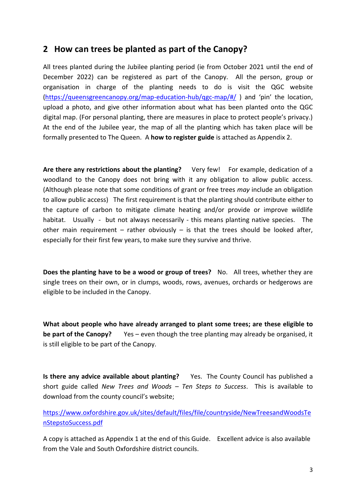## **2 How can trees be planted as part of the Canopy?**

All trees planted during the Jubilee planting period (ie from October 2021 until the end of December 2022) can be registered as part of the Canopy. All the person, group or organisation in charge of the planting needs to do is visit the QGC website [\(https://queensgreencanopy.org/map-education-hub/qgc-map/#/](https://queensgreencanopy.org/map-education-hub/qgc-map/#/) ) and 'pin' the location, upload a photo, and give other information about what has been planted onto the QGC digital map. (For personal planting, there are measures in place to protect people's privacy.) At the end of the Jubilee year, the map of all the planting which has taken place will be formally presented to The Queen. A **how to register guide** is attached as Appendix 2.

**Are there any restrictions about the planting?** Very few! For example, dedication of a woodland to the Canopy does not bring with it any obligation to allow public access. (Although please note that some conditions of grant or free trees *may* include an obligation to allow public access) The first requirement is that the planting should contribute either to the capture of carbon to mitigate climate heating and/or provide or improve wildlife habitat. Usually - but not always necessarily - this means planting native species. The other main requirement – rather obviously – is that the trees should be looked after, especially for their first few years, to make sure they survive and thrive.

**Does the planting have to be a wood or group of trees?** No. All trees, whether they are single trees on their own, or in clumps, woods, rows, avenues, orchards or hedgerows are eligible to be included in the Canopy.

**What about people who have already arranged to plant some trees; are these eligible to be part of the Canopy?** Yes – even though the tree planting may already be organised, it is still eligible to be part of the Canopy.

**Is there any advice available about planting?** Yes. The County Council has published a short guide called *New Trees and Woods – Ten Steps to Success*. This is available to download from the county council's website;

[https://www.oxfordshire.gov.uk/sites/default/files/file/countryside/NewTreesandWoodsTe](https://www.oxfordshire.gov.uk/sites/default/files/file/countryside/NewTreesandWoodsTenStepstoSuccess.pdf) [nStepstoSuccess.pdf](https://www.oxfordshire.gov.uk/sites/default/files/file/countryside/NewTreesandWoodsTenStepstoSuccess.pdf) 

A copy is attached as Appendix 1 at the end of this Guide. Excellent advice is also available from the Vale and South Oxfordshire district councils.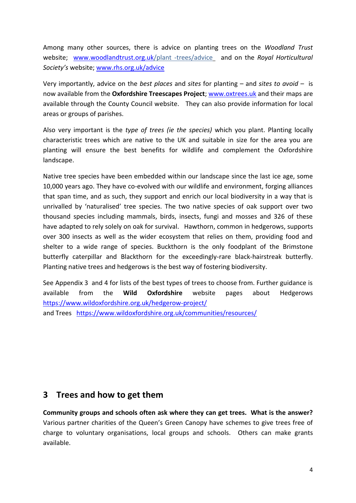Among many other sources, there is advice on planting trees on the *Woodland Trust* website; [www.woodlandtrust.org.uk/](http://www.woodlandtrust.org.uk/)plant -trees/advice and on the *Royal Horticultural Society's* website; [www.rhs.org.uk/advice](http://www.rhs.org.uk/advice)

Very importantly, advice on the *best places* and *sites* for planting – and *sites to avoid* – is now available from the **Oxfordshire Treescapes Project**[; www.oxtrees.uk](http://www.oxtrees.uk/) and their maps are available through the County Council website. They can also provide information for local areas or groups of parishes.

Also very important is the *type of trees (ie the species)* which you plant. Planting locally characteristic trees which are native to the UK and suitable in size for the area you are planting will ensure the best benefits for wildlife and complement the Oxfordshire landscape.

Native tree species have been embedded within our landscape since the last ice age, some 10,000 years ago. They have co-evolved with our wildlife and environment, forging alliances that span time, and as such, they support and enrich our local biodiversity in a way that is unrivalled by 'naturalised' tree species. The two native species of oak support over two thousand species including mammals, birds, insects, fungi and mosses and 326 of these have adapted to rely solely on oak for survival. Hawthorn, common in hedgerows, supports over 300 insects as well as the wider ecosystem that relies on them, providing food and shelter to a wide range of species. Buckthorn is the only foodplant of the Brimstone butterfly caterpillar and Blackthorn for the exceedingly-rare black-hairstreak butterfly. Planting native trees and hedgerows is the best way of fostering biodiversity.

See Appendix 3 and 4 for lists of the best types of trees to choose from. Further guidance is available from the **Wild Oxfordshire** website pages about Hedgerows <https://www.wildoxfordshire.org.uk/hedgerow-project/> and Trees <https://www.wildoxfordshire.org.uk/communities/resources/>

**3 Trees and how to get them**

**Community groups and schools often ask where they can get trees. What is the answer?** Various partner charities of the Queen's Green Canopy have schemes to give trees free of charge to voluntary organisations, local groups and schools. Others can make grants available.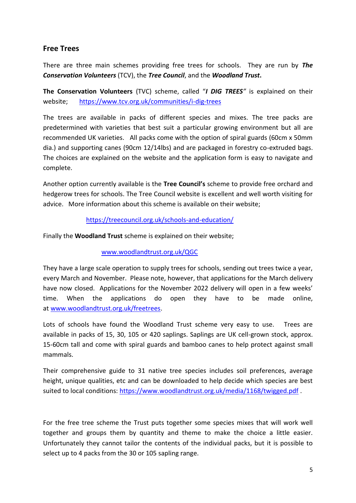### **Free Trees**

There are three main schemes providing free trees for schools. They are run by *The Conservation Volunteers* (TCV), the *Tree Council*, and the *Woodland Trust***.**

**The Conservation Volunteers** (TVC) scheme, called "*I DIG TREES"* is explained on their website; <https://www.tcv.org.uk/communities/i-dig-trees>

The trees are available in packs of different species and mixes. The tree packs are predetermined with varieties that best suit a particular growing environment but all are recommended UK varieties. All packs come with the option of spiral guards (60cm x 50mm dia.) and supporting canes (90cm 12/14lbs) and are packaged in forestry co-extruded bags. The choices are explained on the website and the application form is easy to navigate and complete.

Another option currently available is the **Tree Council's** scheme to provide free orchard and hedgerow trees for schools. The Tree Council website is excellent and well worth visiting for advice. More information about this scheme is available on their website;

#### <https://treecouncil.org.uk/schools-and-education/>

Finally the **Woodland Trust** scheme is explained on their website;

#### [www.woodlandtrust.org.uk/QGC](http://www.woodlandtrust.org.uk/QGC)

They have a large scale operation to supply trees for schools, sending out trees twice a year, every March and November. Please note, however, that applications for the March delivery have now closed. Applications for the November 2022 delivery will open in a few weeks' time. When the applications do open they have to be made online, at [www.woodlandtrust.org.uk/freetrees.](http://www.woodlandtrust.org.uk/freetrees)

Lots of schools have found the Woodland Trust scheme very easy to use. Trees are available in packs of 15, 30, 105 or 420 saplings. Saplings are UK cell-grown stock, approx. 15-60cm tall and come with spiral guards and bamboo canes to help protect against small mammals.

Their comprehensive guide to 31 native tree species includes soil preferences, average height, unique qualities, etc and can be downloaded to help decide which species are best suited to local conditions: <https://www.woodlandtrust.org.uk/media/1168/twigged.pdf> .

For the free tree scheme the Trust puts together some species mixes that will work well together and groups them by quantity and theme to make the choice a little easier. Unfortunately they cannot tailor the contents of the individual packs, but it is possible to select up to 4 packs from the 30 or 105 sapling range.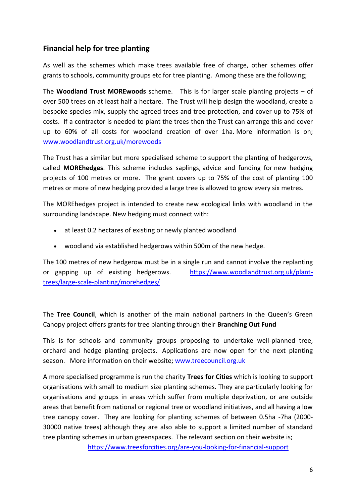## **Financial help for tree planting**

As well as the schemes which make trees available free of charge, other schemes offer grants to schools, community groups etc for tree planting. Among these are the following;

The **Woodland Trust MOREwoods** scheme. This is for larger scale planting projects – of over 500 trees on at least half a hectare. The Trust will help design the woodland, create a bespoke species mix, supply the agreed trees and tree protection, and cover up to 75% of costs. If a contractor is needed to plant the trees then the Trust can arrange this and cover up to 60% of all costs for woodland creation of over 1ha. More information is on; [www.woodlandtrust.org.uk/morewoods](http://www.woodlandtrust.org.uk/morewoods)

The Trust has a similar but more specialised scheme to support the planting of hedgerows, called **MOREhedges**. This scheme includes saplings, advice and funding for new hedging projects of 100 metres or more. The grant covers up to 75% of the cost of planting 100 metres or more of new hedging provided a large tree is allowed to grow every six metres.

The MOREhedges project is intended to create new ecological links with woodland in the surrounding landscape. New hedging must connect with:

- at least 0.2 hectares of existing or newly planted woodland
- woodland via established hedgerows within 500m of the new hedge.

The 100 metres of new hedgerow must be in a single run and cannot involve the replanting or gapping up of existing hedgerows. [https://www.woodlandtrust.org.uk/plant](https://www.woodlandtrust.org.uk/plant-trees/large-scale-planting/morehedges/)[trees/large-scale-planting/morehedges/](https://www.woodlandtrust.org.uk/plant-trees/large-scale-planting/morehedges/)

The **Tree Council**, which is another of the main national partners in the Queen's Green Canopy project offers grants for tree planting through their **Branching Out Fund**

This is for schools and community groups proposing to undertake well-planned tree, orchard and hedge planting projects. Applications are now open for the next planting season. More information on their website[; www.treecouncil.org.uk](http://www.treecouncil.org.uk/)

A more specialised programme is run the charity **Trees for Cities** which is looking to support organisations with small to medium size planting schemes. They are particularly looking for organisations and groups in areas which suffer from multiple deprivation, or are outside areas that benefit from national or regional tree or woodland initiatives, and all having a low tree canopy cover. They are looking for planting schemes of between 0.5ha -7ha (2000- 30000 native trees) although they are also able to support a limited number of standard tree planting schemes in urban greenspaces. The relevant section on their website is;

<https://www.treesforcities.org/are-you-looking-for-financial-support>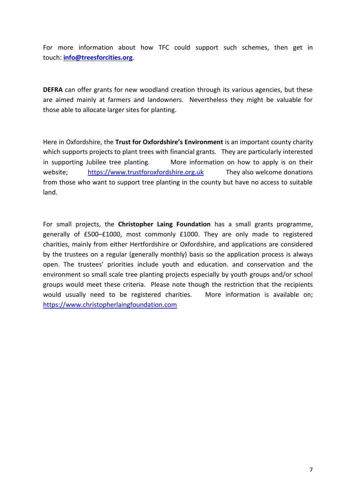For more information about how TFC could support such schemes, then get in touch: **[info@treesforcities.org](mailto:info@treesforcities.org)**.

**DEFRA** can offer grants for new woodland creation through its various agencies, but these are aimed mainly at farmers and landowners. Nevertheless they might be valuable for those able to allocate larger sites for planting.

Here in Oxfordshire, the **Trust for Oxfordshire's Environment** is an important county charity which supports projects to plant trees with financial grants. They are particularly interested in supporting Jubilee tree planting. More information on how to apply is on their website; [https://www.trustforoxfordshire.org.uk](https://www.trustforoxfordshire.org.uk/) They also welcome donations from those who want to support tree planting in the county but have no access to suitable land.

For small projects, the **Christopher Laing Foundation** has a small grants programme, generally of £500–£1000, most commonly £1000. They are only made to registered charities, mainly from either Hertfordshire or Oxfordshire, and applications are considered by the trustees on a regular (generally monthly) basis so the application process is always open. The trustees' priorities include youth and education. and conservation and the environment so small scale tree planting projects especially by youth groups and/or school groups would meet these criteria. Please note though the restriction that the recipients would usually need to be registered charities. More information is available on; [https://www.christopherlaingfoundation.com](https://www.christopherlaingfoundation.com/)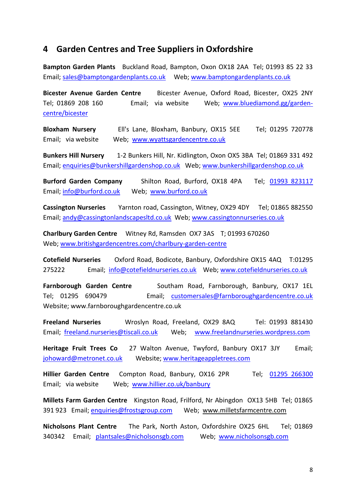## **4 Garden Centres and Tree Suppliers in Oxfordshire**

**Bampton Garden Plants** Buckland Road, Bampton, Oxon OX18 2AA Tel; 01993 85 22 33 Email; [sales@bamptongardenplants.co.uk](mailto:sales@bamptongardenplants.co.uk) Web; [www.bamptongardenplants.co.uk](http://www.bamptongardenplants.co.uk/)

**Bicester Avenue Garden Centre** Bicester Avenue, Oxford Road, Bicester, OX25 2NY Tel; 01869 208 160 Email; via website Web; [www.bluediamond.gg/garden](http://www.bluediamond.gg/garden-centre/bicester)[centre/bicester](http://www.bluediamond.gg/garden-centre/bicester)

**Bloxham Nursery** Ell's Lane, Bloxham, Banbury, OX15 5EE Tel; 01295 720778 Email; via website Web; [www.wyattsgardencentre.co.uk](http://www.wyattsgardencentre.co.uk/)

**Bunkers Hill Nursery** 1-2 Bunkers Hill, Nr. Kidlington, Oxon OX5 3BA Tel; 01869 331 492 Email; [enquiries@bunkershillgardenshop.co.uk](mailto:enquiries@bunkershillgardenshop.co.uk) Web; [www.bunkershillgardenshop.co.uk](http://www.bunkershillgardenshop.co.uk/)

**Burford Garden Company** Shilton Road, Burford, OX18 4PA Tel; [01993 823117](tel:01993823117)  Email; [info@burford.co.uk](mailto:info@burford.co.uk) Web; [www.burford.co.uk](http://www.burford.co.uk/)

**Cassington Nurseries** Yarnton road, Cassington, Witney, OX29 4DY Tel; 01865 882550 Email; [andy@cassingtonlandscapesltd.co.uk](mailto:andy@cassingtonlandscapesltd.co.uk) Web; [www.cassingtonnurseries.co.uk](http://www.cassingtonnurseries.co.uk/)

**Charlbury Garden Centre** Witney Rd, Ramsden OX7 3AS T; 01993 670260 Web; [www.britishgardencentres.com/charlbury-garden-centre](http://www.britishgardencentres.com/charlbury-garden-centre)

**Cotefield Nurseries** Oxford Road, Bodicote, Banbury, Oxfordshire OX15 4AQ T:01295 275222 Email; [info@cotefieldnurseries.co.uk](mailto:info@cotefieldnurseries.co.uk) Web; [www.cotefieldnurseries.co.uk](http://www.cotefieldnurseries.co.uk/)

**Farnborough Garden Centre** Southam Road, Farnborough, Banbury, OX17 1EL Tel; 01295 690479 Email; [customersales@farnboroughgardencentre.co.uk](mailto:customersales@farnboroughgardencentre.co.uk)  Website; www.farnboroughgardencentre.co.uk

**Freeland Nurseries** Wroslyn Road, Freeland, OX29 8AQ Tel: 01993 881430 Email; [freeland.nurseries@tiscali.co.uk](mailto:freeland.nurseries@tiscali.co.uk) Web; [www.freelandnurseries.wordpress.com](http://www.freelandnurseries.wordpress.com/)

**Heritage Fruit Trees Co** 27 Walton Avenue, Twyford, Banbury OX17 3JY Email; [johoward@metronet.co.uk](mailto:johoward@metronet.co.uk) Website; [www.heritageappletrees.com](http://www.heritageappletrees.com/) 

**Hillier Garden Centre** Compton Road, Banbury, OX16 2PR Tel; 01295 266300 Email; via website Web; [www.hillier.co.uk/banbury](http://www.hillier.co.uk/banbury)

**Millets Farm Garden Centre** Kingston Road, Frilford, Nr Abingdon OX13 5HB Tel; 01865 391 923 Email; [enquiries@frostsgroup.com](mailto:enquiries@frostsgroup.com) Web; www.milletsfarmcentre.com

**Nicholsons Plant Centre** The Park, North Aston, Oxfordshire OX25 6HL Tel; 01869 340342 Email; [plantsales@nicholsonsgb.com](mailto:plantsales@nicholsonsgb.com) Web; [www.nicholsonsgb.com](http://www.cylex-uk.co.uk/reviews/viewcompanywebsite.aspx?firmaName=nicholson+nurseries+ltd&companyId=14051014)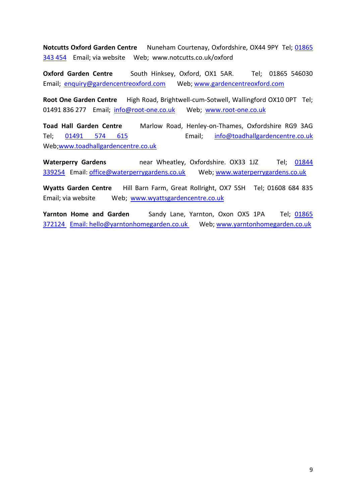**Notcutts Oxford Garden Centre** Nuneham Courtenay, Oxfordshire, OX44 9PY Tel; [01865](tel:01865343454)  [343 454](tel:01865343454) Email; via website Web; www.notcutts.co.uk/oxford

**Oxford Garden Centre** South Hinksey, Oxford, OX1 5AR. Tel; 01865 546030 Email; [enquiry@gardencentreoxford.com](mailto:enquiry@gardencentreoxford.com) Web; [www.gardencentreoxford.com](http://www.gardencentreoxford.com/)

**Root One Garden Centre** High Road, Brightwell-cum-Sotwell, Wallingford OX10 0PT Tel; 01491 836 277 Email; [info@root-one.co.uk](mailto:info@root-one.co.uk) Web; [www.root-one.co.uk](http://www.root-one.co.uk/)

**Toad Hall Garden Centre** Marlow Road, Henley-on-Thames, Oxfordshire RG9 3AG Tel; [01491 574 615](tel:00441491574615) Email; [info@toadhallgardencentre.co.uk](mailto:info@toadhallgardencentre.co.uk)  Web[;www.toadhallgardencentre.co.uk](http://www.toadhallgardencentre.co.uk/)

**Waterperry Gardens** near Wheatley, Oxfordshire. OX33 1JZ Tel; [01844](tel:01844%20339254)  [339254](tel:01844%20339254) Email: [office@waterperrygardens.co.uk](mailto:office@waterperrygardens.co.uk) Web[; www.waterperrygardens.co.uk](http://www.waterperrygardens.co.uk/)

**Wyatts Garden Centre** Hill Barn Farm, Great Rollright, OX7 5SH Tel; 01608 684 835 Email; via website Web; [www.wyattsgardencentre.co.uk](http://www.wyattsgardencentre.co.uk/) 

**Yarnton Home and Garden** Sandy Lane, Yarnton, Oxon OX5 1PA Tel; [01865](mailto:01865%20372124 )  [372124](mailto:01865%20372124 ) Email: [hello@yarntonhomegarden.co.uk](mailto:hello@yarntonhomegarden.co.uk) Web; [www.yarntonhomegarden.co.uk](http://www.yarntonhomegarden.co.uk/)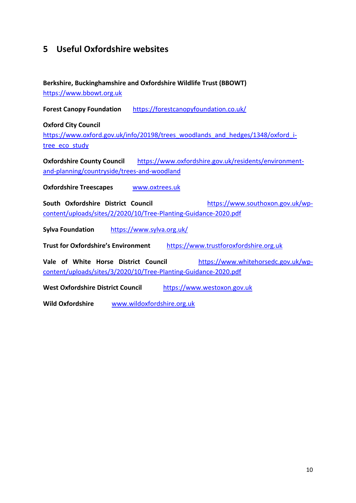## **5 Useful Oxfordshire websites**

#### **Berkshire, Buckinghamshire and Oxfordshire Wildlife Trust (BBOWT)** [https://www.bbowt.org.uk](https://www.bbowt.org.uk/)

**Forest Canopy Foundation** <https://forestcanopyfoundation.co.uk/>

**Oxford City Council**

[https://www.oxford.gov.uk/info/20198/trees\\_woodlands\\_and\\_hedges/1348/oxford\\_i](https://www.oxford.gov.uk/info/20198/trees_woodlands_and_hedges/1348/oxford_i-tree_eco_study)[tree\\_eco\\_study](https://www.oxford.gov.uk/info/20198/trees_woodlands_and_hedges/1348/oxford_i-tree_eco_study)

**Oxfordshire County Council** [https://www.oxfordshire.gov.uk/residents/environment](https://www.oxfordshire.gov.uk/residents/environment-and-planning/countryside/trees-and-woodland)[and-planning/countryside/trees-and-woodland](https://www.oxfordshire.gov.uk/residents/environment-and-planning/countryside/trees-and-woodland)

**Oxfordshire Treescapes [www.oxtrees.uk](http://www.oxtrees.uk/)** 

**South Oxfordshire District Council** [https://www.southoxon.gov.uk/wp](https://www.southoxon.gov.uk/wp-content/uploads/sites/2/2020/10/Tree-Planting-Guidance-2020.pdf)[content/uploads/sites/2/2020/10/Tree-Planting-Guidance-2020.pdf](https://www.southoxon.gov.uk/wp-content/uploads/sites/2/2020/10/Tree-Planting-Guidance-2020.pdf)

**Sylva Foundation** <https://www.sylva.org.uk/>

**Trust for Oxfordshire's Environment** [https://www.trustforoxfordshire.org.uk](https://www.trustforoxfordshire.org.uk/)

**Vale of White Horse District Council** [https://www.whitehorsedc.gov.uk/wp](https://www.whitehorsedc.gov.uk/wp-content/uploads/sites/3/2020/10/Tree-Planting-Guidance-2020.pdf)[content/uploads/sites/3/2020/10/Tree-Planting-Guidance-2020.pdf](https://www.whitehorsedc.gov.uk/wp-content/uploads/sites/3/2020/10/Tree-Planting-Guidance-2020.pdf)

**West Oxfordshire District Council** [https://www.westoxon.gov.uk](https://www.westoxon.gov.uk/)

**Wild Oxfordshire** [www.wildoxfordshire.org.uk](http://www.wildoxfordshire.org.uk/)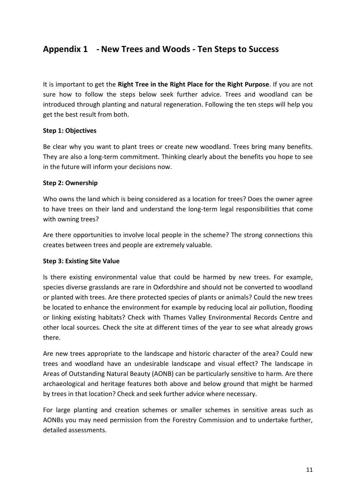## **Appendix 1 - New Trees and Woods - Ten Steps to Success**

It is important to get the **Right Tree in the Right Place for the Right Purpose**. If you are not sure how to follow the steps below seek further advice. Trees and woodland can be introduced through planting and natural regeneration. Following the ten steps will help you get the best result from both.

#### **Step 1: Objectives**

Be clear why you want to plant trees or create new woodland. Trees bring many benefits. They are also a long-term commitment. Thinking clearly about the benefits you hope to see in the future will inform your decisions now.

#### **Step 2: Ownership**

Who owns the land which is being considered as a location for trees? Does the owner agree to have trees on their land and understand the long-term legal responsibilities that come with owning trees?

Are there opportunities to involve local people in the scheme? The strong connections this creates between trees and people are extremely valuable.

#### **Step 3: Existing Site Value**

Is there existing environmental value that could be harmed by new trees. For example, species diverse grasslands are rare in Oxfordshire and should not be converted to woodland or planted with trees. Are there protected species of plants or animals? Could the new trees be located to enhance the environment for example by reducing local air pollution, flooding or linking existing habitats? Check with Thames Valley Environmental Records Centre and other local sources. Check the site at different times of the year to see what already grows there.

Are new trees appropriate to the landscape and historic character of the area? Could new trees and woodland have an undesirable landscape and visual effect? The landscape in Areas of Outstanding Natural Beauty (AONB) can be particularly sensitive to harm. Are there archaeological and heritage features both above and below ground that might be harmed by trees in that location? Check and seek further advice where necessary.

For large planting and creation schemes or smaller schemes in sensitive areas such as AONBs you may need permission from the Forestry Commission and to undertake further, detailed assessments.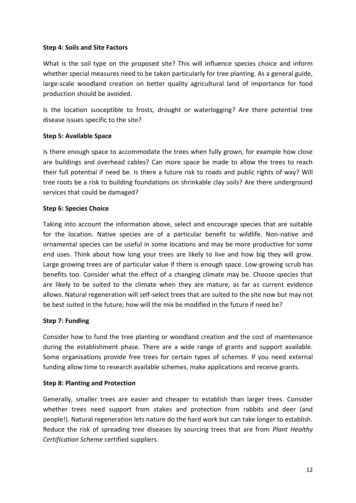#### **Step 4: Soils and Site Factors**

What is the soil type on the proposed site? This will influence species choice and inform whether special measures need to be taken particularly for tree planting. As a general guide, large-scale woodland creation on better quality agricultural land of importance for food production should be avoided.

Is the location susceptible to frosts, drought or waterlogging? Are there potential tree disease issues specific to the site?

#### **Step 5: Available Space**

Is there enough space to accommodate the trees when fully grown, for example how close are buildings and overhead cables? Can more space be made to allow the trees to reach their full potential if need be. Is there a future risk to roads and public rights of way? Will tree roots be a risk to building foundations on shrinkable clay soils? Are there underground services that could be damaged?

#### **Step 6: Species Choice**

Taking into account the information above, select and encourage species that are suitable for the location. Native species are of a particular benefit to wildlife. Non-native and ornamental species can be useful in some locations and may be more productive for some end uses. Think about how long your trees are likely to live and how big they will grow. Large growing trees are of particular value if there is enough space. Low-growing scrub has benefits too. Consider what the effect of a changing climate may be. Choose species that are likely to be suited to the climate when they are mature, as far as current evidence allows. Natural regeneration will self-select trees that are suited to the site now but may not be best suited in the future; how will the mix be modified in the future if need be?

#### **Step 7: Funding**

Consider how to fund the tree planting or woodland creation and the cost of maintenance during the establishment phase. There are a wide range of grants and support available. Some organisations provide free trees for certain types of schemes. If you need external funding allow time to research available schemes, make applications and receive grants.

#### **Step 8: Planting and Protection**

Generally, smaller trees are easier and cheaper to establish than larger trees. Consider whether trees need support from stakes and protection from rabbits and deer (and people!). Natural regeneration lets nature do the hard work but can take longer to establish. Reduce the risk of spreading tree diseases by sourcing trees that are from *Plant Healthy Certification Scheme* certified suppliers.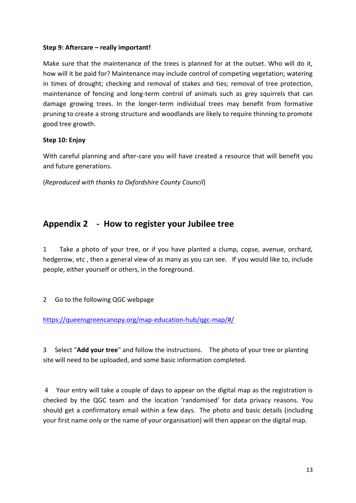#### **Step 9: Aftercare – really important!**

Make sure that the maintenance of the trees is planned for at the outset. Who will do it, how will it be paid for? Maintenance may include control of competing vegetation; watering in times of drought; checking and removal of stakes and ties; removal of tree protection, maintenance of fencing and long-term control of animals such as grey squirrels that can damage growing trees. In the longer-term individual trees may benefit from formative pruning to create a strong structure and woodlands are likely to require thinning to promote good tree growth.

#### **Step 10: Enjoy**

With careful planning and after-care you will have created a resource that will benefit you and future generations.

(*Reproduced with thanks to Oxfordshire County Council*)

## **Appendix 2 - How to register your Jubilee tree**

1 Take a photo of your tree, or if you have planted a clump, copse, avenue, orchard, hedgerow, etc , then a general view of as many as you can see. If you would like to, include people, either yourself or others, in the foreground.

#### 2 Go to the following QGC webpage

<https://queensgreencanopy.org/map-education-hub/qgc-map/#/>

3 Select "**Add your tree**" and follow the instructions. The photo of your tree or planting site will need to be uploaded, and some basic information completed.

4 Your entry will take a couple of days to appear on the digital map as the registration is checked by the QGC team and the location 'randomised' for data privacy reasons. You should get a confirmatory email within a few days. The photo and basic details (including your first name only or the name of your organisation) will then appear on the digital map.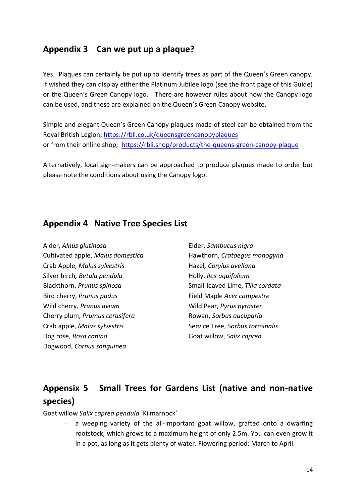## **Appendix 3 Can we put up a plaque?**

Yes. Plaques can certainly be put up to identify trees as part of the Queen's Green canopy. If wished they can display either the Platinum Jubilee logo (see the front page of this Guide) or the Queen's Green Canopy logo. There are however rules about how the Canopy logo can be used, and these are explained on the Queen's Green Canopy website.

Simple and elegant Queen's Green Canopy plaques made of steel can be obtained from the Royal British Legion;<https://rbli.co.uk/queensgreencanopyplaques> or from their online shop; <https://rbli.shop/products/the-queens-green-canopy-plaque>

Alternatively, local sign-makers can be approached to produce plaques made to order but please note the conditions about using the Canopy logo.

## **Appendix 4 Native Tree Species List**

| Alder, Alnus glutinosa            |
|-----------------------------------|
| Cultivated apple, Malus domestica |
| Crab Apple, Malus sylvestris      |
| Silver birch, Betula pendula      |
| Blackthorn, Prunus spinosa        |
| Bird cherry, Prunus padus         |
| Wild cherry, Prunus avium         |
| Cherry plum, Prumus cerasifera    |
| Crab apple, Malus sylvestris      |
| Dog rose, Rosa canina             |
| Dogwood, Cornus sanguinea         |

Elder, *Sambucus nigra* Hawthorn, *Crataegus monogyna* Hazel*, Corylus avellana* Holly, *Ilex aquifolium* Small-leaved Lime, *Tilia cordata* Field Maple *Acer campestre* Wild Pear, *Pyrus pyraster* Rowan, *Sorbus aucuparia* Service Tree, *Sorbus torminalis* Goat willow, *Salix caprea*

## **Appensix 5 Small Trees for Gardens List (native and non-native species)**

Goat willow *Salix caprea pendula* 'Kilmarnock'

a weeping variety of the all-important goat willow, grafted onto a dwarfing rootstock, which grows to a maximum height of only 2.5m. You can even grow it in a pot, as long as it gets plenty of water. Flowering period: March to April.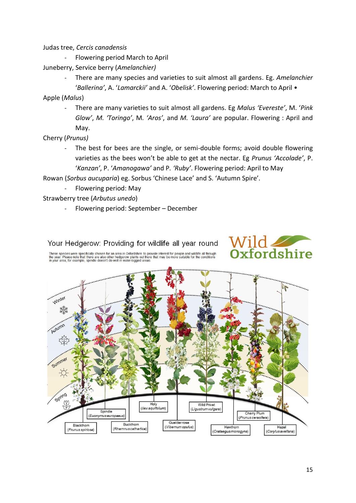Judas tree, *Cercis canadensis*

- Flowering period March to April
- Juneberry, Service berry (*Amelanchier)*
	- There are many species and varieties to suit almost all gardens. Eg. *Amelanchier* '*Ballerina'*, A. '*Lamarckii'* and A. '*Obelisk'*. Flowering period: March to April •

Apple (*Malus*)

- There are many varieties to suit almost all gardens. Eg *Malus 'Evereste'*, M. '*Pink Glow'*, *M. 'Toringo'*, M*. 'Aros'*, and *M. 'Laura'* are popular. Flowering : April and May.
- Cherry (*Prunus)*
	- The best for bees are the single, or semi-double forms; avoid double flowering varieties as the bees won't be able to get at the nectar. Eg *Prunus 'Accolade'*, P. '*Kanzan'*, P. '*Amanogawa'* and P*. 'Ruby'*. Flowering period: April to May

Rowan (*Sorbus aucuparia*) eg. Sorbus 'Chinese Lace' and S. 'Autumn Spire'.

- Flowering period: May
- Strawberry tree (*Arbutus unedo*)
	- Flowering period: September December

Your Hedgerow: Providing for wildlife all year round These species were specifically chosen for an area in Oxfordshire to provide interest for people and wildlife all through<br>the year. Please note that there are also other hedgerow plants out there that may be more suitable